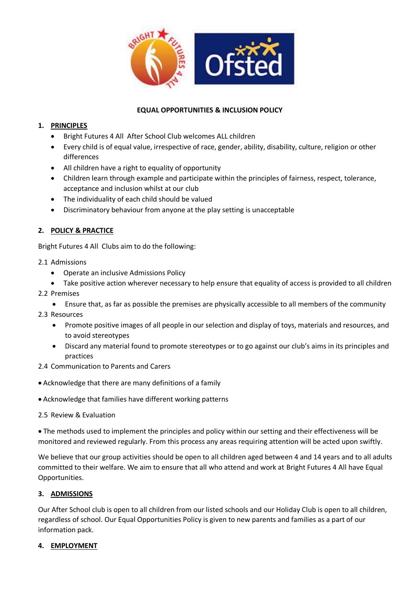

## **EQUAL OPPORTUNITIES & INCLUSION POLICY**

## **1. PRINCIPLES**

- Bright Futures 4 All After School Club welcomes ALL children
- Every child is of equal value, irrespective of race, gender, ability, disability, culture, religion or other differences
- All children have a right to equality of opportunity
- Children learn through example and participate within the principles of fairness, respect, tolerance, acceptance and inclusion whilst at our club
- The individuality of each child should be valued
- Discriminatory behaviour from anyone at the play setting is unacceptable

## **2. POLICY & PRACTICE**

Bright Futures 4 All Clubs aim to do the following:

- 2.1 Admissions
	- Operate an inclusive Admissions Policy
	- Take positive action wherever necessary to help ensure that equality of access is provided to all children
- 2.2 Premises
	- Ensure that, as far as possible the premises are physically accessible to all members of the community
- 2.3 Resources
	- Promote positive images of all people in our selection and display of toys, materials and resources, and to avoid stereotypes
	- Discard any material found to promote stereotypes or to go against our club's aims in its principles and practices
- 2.4 Communication to Parents and Carers
- Acknowledge that there are many definitions of a family
- Acknowledge that families have different working patterns
- 2.5 Review & Evaluation

 The methods used to implement the principles and policy within our setting and their effectiveness will be monitored and reviewed regularly. From this process any areas requiring attention will be acted upon swiftly.

We believe that our group activities should be open to all children aged between 4 and 14 years and to all adults committed to their welfare. We aim to ensure that all who attend and work at Bright Futures 4 All have Equal Opportunities.

### **3. ADMISSIONS**

Our After School club is open to all children from our listed schools and our Holiday Club is open to all children, regardless of school. Our Equal Opportunities Policy is given to new parents and families as a part of our information pack.

#### **4. EMPLOYMENT**